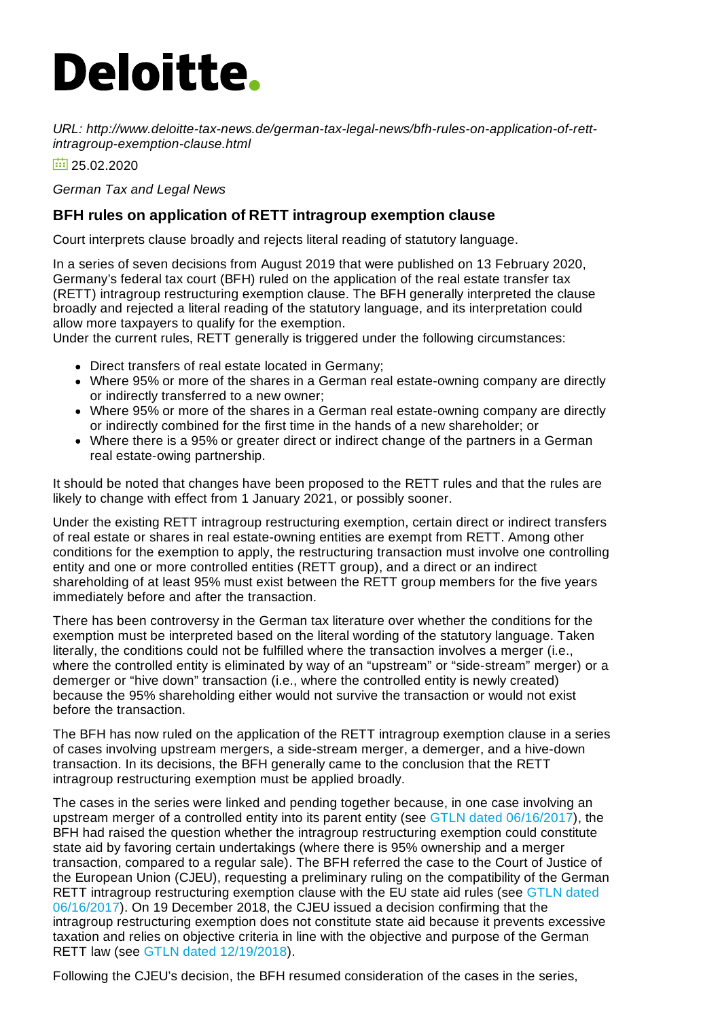## **Deloitte.**

*URL: http://www.deloitte-tax-news.de/german-tax-legal-news/bfh-rules-on-application-of-rettintragroup-exemption-clause.html*

 $\frac{1}{25}$  25.02.2020

*German Tax and Legal News*

## **BFH rules on application of RETT intragroup exemption clause**

Court interprets clause broadly and rejects literal reading of statutory language.

In a series of seven decisions from August 2019 that were published on 13 February 2020, Germany's federal tax court (BFH) ruled on the application of the real estate transfer tax (RETT) intragroup restructuring exemption clause. The BFH generally interpreted the clause broadly and rejected a literal reading of the statutory language, and its interpretation could allow more taxpayers to qualify for the exemption.

Under the current rules, RETT generally is triggered under the following circumstances:

- Direct transfers of real estate located in Germany;
- Where 95% or more of the shares in a German real estate-owning company are directly or indirectly transferred to a new owner;
- Where 95% or more of the shares in a German real estate-owning company are directly or indirectly combined for the first time in the hands of a new shareholder; or
- Where there is a 95% or greater direct or indirect change of the partners in a German real estate-owing partnership.

It should be noted that changes have been proposed to the RETT rules and that the rules are likely to change with effect from 1 January 2021, or possibly sooner.

Under the existing RETT intragroup restructuring exemption, certain direct or indirect transfers of real estate or shares in real estate-owning entities are exempt from RETT. Among other conditions for the exemption to apply, the restructuring transaction must involve one controlling entity and one or more controlled entities (RETT group), and a direct or an indirect shareholding of at least 95% must exist between the RETT group members for the five years immediately before and after the transaction.

There has been controversy in the German tax literature over whether the conditions for the exemption must be interpreted based on the literal wording of the statutory language. Taken literally, the conditions could not be fulfilled where the transaction involves a merger (i.e., where the controlled entity is eliminated by way of an "upstream" or "side-stream" merger) or a demerger or "hive down" transaction (i.e., where the controlled entity is newly created) because the 95% shareholding either would not survive the transaction or would not exist before the transaction.

The BFH has now ruled on the application of the RETT intragroup exemption clause in a series of cases involving upstream mergers, a side-stream merger, a demerger, and a hive-down transaction. In its decisions, the BFH generally came to the conclusion that the RETT intragroup restructuring exemption must be applied broadly.

The cases in the series were linked and pending together because, in one case involving an upstream merger of a controlled entity into its parent entity (see GTLN dated [06/16/2017](https://www.deloitte-tax-news.de/german-tax-legal-news/compatibility-of-rett-intragroup-exemption-with-eu-state-aid-rules-referred-to-cjeu.html)), the BFH had raised the question whether the intragroup restructuring exemption could constitute state aid by favoring certain undertakings (where there is 95% ownership and a merger transaction, compared to a regular sale). The BFH referred the case to the Court of Justice of the European Union (CJEU), requesting a preliminary ruling on the compatibility of the German RETT intragroup [restructuring](https://www.deloitte-tax-news.de/german-tax-legal-news/compatibility-of-rett-intragroup-exemption-with-eu-state-aid-rules-referred-to-cjeu.html) exemption clause with the EU state aid rules (see GTLN dated 06/16/2017). On 19 December 2018, the CJEU issued a decision confirming that the intragroup restructuring exemption does not constitute state aid because it prevents excessive taxation and relies on objective criteria in line with the objective and purpose of the German RETT law (see GTLN dated [12/19/2018](https://www.deloitte-tax-news.de/german-tax-legal-news/cjeu-rules-german-rett-intragroup-exemption-in-line-with-eu-state-aid-rules.html)).

Following the CJEU's decision, the BFH resumed consideration of the cases in the series,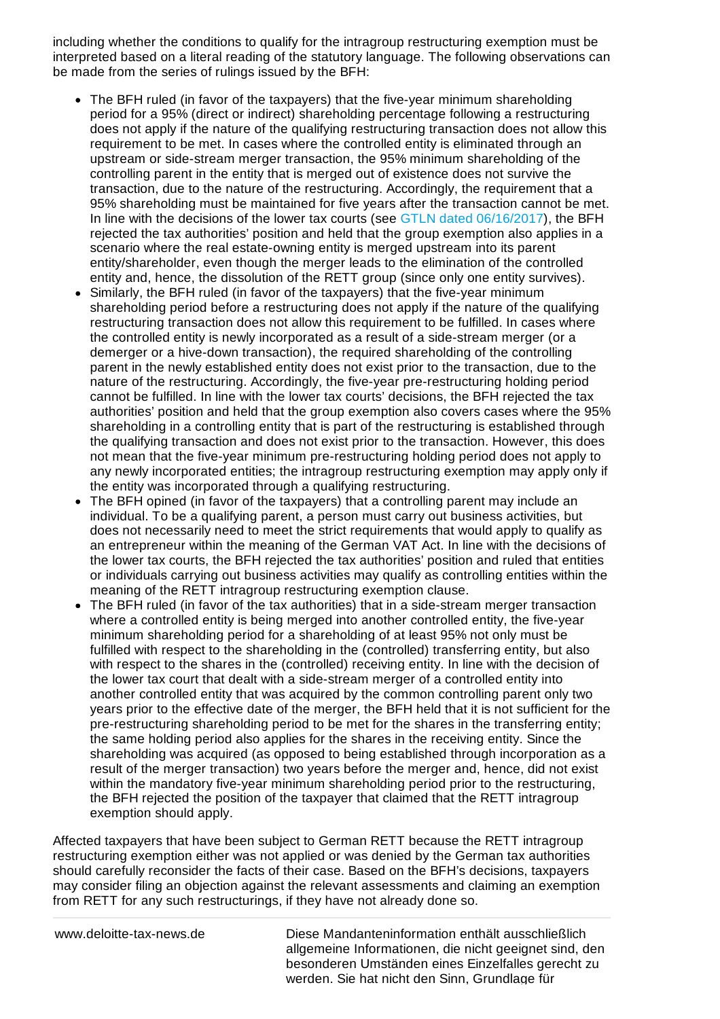including whether the conditions to qualify for the intragroup restructuring exemption must be interpreted based on a literal reading of the statutory language. The following observations can be made from the series of rulings issued by the BFH:

- The BFH ruled (in favor of the taxpayers) that the five-year minimum shareholding period for a 95% (direct or indirect) shareholding percentage following a restructuring does not apply if the nature of the qualifying restructuring transaction does not allow this requirement to be met. In cases where the controlled entity is eliminated through an upstream or side-stream merger transaction, the 95% minimum shareholding of the controlling parent in the entity that is merged out of existence does not survive the transaction, due to the nature of the restructuring. Accordingly, the requirement that a 95% shareholding must be maintained for five years after the transaction cannot be met. In line with the decisions of the lower tax courts (see GTLN dated [06/16/2017](https://www.deloitte-tax-news.de/german-tax-legal-news/compatibility-of-rett-intragroup-exemption-with-eu-state-aid-rules-referred-to-cjeu.html)), the BFH rejected the tax authorities' position and held that the group exemption also applies in a scenario where the real estate-owning entity is merged upstream into its parent entity/shareholder, even though the merger leads to the elimination of the controlled entity and, hence, the dissolution of the RETT group (since only one entity survives).
- Similarly, the BFH ruled (in favor of the taxpayers) that the five-year minimum shareholding period before a restructuring does not apply if the nature of the qualifying restructuring transaction does not allow this requirement to be fulfilled. In cases where the controlled entity is newly incorporated as a result of a side-stream merger (or a demerger or a hive-down transaction), the required shareholding of the controlling parent in the newly established entity does not exist prior to the transaction, due to the nature of the restructuring. Accordingly, the five-year pre-restructuring holding period cannot be fulfilled. In line with the lower tax courts' decisions, the BFH rejected the tax authorities' position and held that the group exemption also covers cases where the 95% shareholding in a controlling entity that is part of the restructuring is established through the qualifying transaction and does not exist prior to the transaction. However, this does not mean that the five-year minimum pre-restructuring holding period does not apply to any newly incorporated entities; the intragroup restructuring exemption may apply only if the entity was incorporated through a qualifying restructuring.
- The BFH opined (in favor of the taxpayers) that a controlling parent may include an individual. To be a qualifying parent, a person must carry out business activities, but does not necessarily need to meet the strict requirements that would apply to qualify as an entrepreneur within the meaning of the German VAT Act. In line with the decisions of the lower tax courts, the BFH rejected the tax authorities' position and ruled that entities or individuals carrying out business activities may qualify as controlling entities within the meaning of the RETT intragroup restructuring exemption clause.
- The BFH ruled (in favor of the tax authorities) that in a side-stream merger transaction where a controlled entity is being merged into another controlled entity, the five-year minimum shareholding period for a shareholding of at least 95% not only must be fulfilled with respect to the shareholding in the (controlled) transferring entity, but also with respect to the shares in the (controlled) receiving entity. In line with the decision of the lower tax court that dealt with a side-stream merger of a controlled entity into another controlled entity that was acquired by the common controlling parent only two years prior to the effective date of the merger, the BFH held that it is not sufficient for the pre-restructuring shareholding period to be met for the shares in the transferring entity; the same holding period also applies for the shares in the receiving entity. Since the shareholding was acquired (as opposed to being established through incorporation as a result of the merger transaction) two years before the merger and, hence, did not exist within the mandatory five-year minimum shareholding period prior to the restructuring, the BFH rejected the position of the taxpayer that claimed that the RETT intragroup exemption should apply.

Affected taxpayers that have been subject to German RETT because the RETT intragroup restructuring exemption either was not applied or was denied by the German tax authorities should carefully reconsider the facts of their case. Based on the BFH's decisions, taxpayers may consider filing an objection against the relevant assessments and claiming an exemption from RETT for any such restructurings, if they have not already done so.

www.deloitte-tax-news.de Diese Mandanteninformation enthält ausschließlich allgemeine Informationen, die nicht geeignet sind, den besonderen Umständen eines Einzelfalles gerecht zu werden. Sie hat nicht den Sinn, Grundlage für